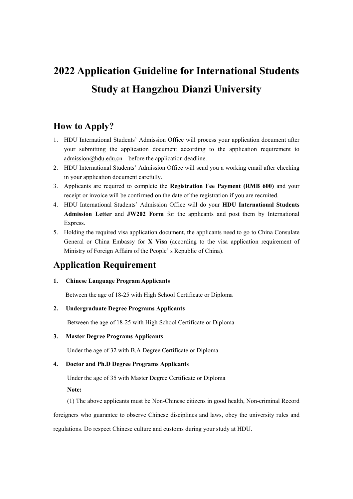# **2022 Application Guideline for International Students Study at Hangzhou Dianzi University**

### **How to Apply?**

- 1. HDU International Students' Admission Office will process your application document after your submitting the application document according to the application requirement to [admission@hdu.edu.cn](mailto:admission@hdu.edu.cn) before the application deadline.
- 2. HDU International Students' Admission Office will send you a working email after checking in your application document carefully.
- 3. Applicants are required to complete the **Registration Fee Payment (RMB 600)** and your receipt or invoice will be confirmed on the date of the registration if you are recruited.
- 4. HDU International Students' Admission Office will do your **HDU International Students Admission Letter** and **JW202 Form** for the applicants and post them by International Express.
- 5. Holding the required visa application document, the applicants need to go to China Consulate General or China Embassy for **X Visa** (according to the visa application requirement of Ministry of Foreign Affairs of the People' s Republic of China).

## **Application Requirement**

### **1. Chinese Language Program Applicants**

Between the age of 18-25 with High School Certificate or Diploma

### **2. Undergraduate Degree Programs Applicants**

Between the age of 18-25 with High School Certificate or Diploma

### **3. Master Degree Programs Applicants**

Under the age of 32 with B.A Degree Certificate or Diploma

### **4. Doctor and Ph.D Degree Programs Applicants**

Under the age of 35 with Master Degree Certificate or Diploma

**Note:**

(1) The above applicants must be Non-Chinese citizens in good health, Non-criminal Record

foreigners who guarantee to observe Chinese disciplines and laws, obey the university rules and regulations. Do respect Chinese culture and customs during your study at HDU.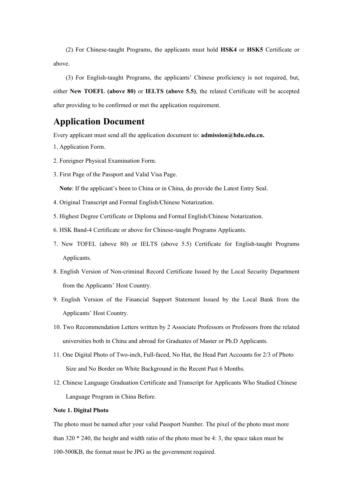(2) For Chinese-taught Programs, the applicants must hold **HSK4** or **HSK5** Certificate or above.<br>(3) For English-taught Programs, the applicants' Chinese proficiency is not required, but,

either **New TOEFL (above 80)** or **IELTS (above 5.5)**, the related Certificate will be accepted after providing to be confirmed or met the application requirement.

### **Application Document**

Every applicant must send all the application document to: **admission@hdu.edu.cn.** 

- 1. [Application](mailto:http://sie.hdu.edu.cn/Art/Art_204/Art_204_222.aspx) Form.
- 2. Foreigner Physical Examination Form.
- 3. First Page of the Passport and Valid Visa Page.

**Note**: If the applicant's been to China or in China, do provide the Latest Entry Seal.

- 4. Original Transcript and Formal English/Chinese Notarization.
- 5. Highest Degree Certificate or Diploma and Formal English/Chinese Notarization.
- 6. HSK Band-4 Certificate or above for Chinese-taught Programs Applicants.
- 7. New TOFEL (above 80) or IELTS (above 5.5) Certificate for English-taught Programs Applicants.
- 8. English Version of Non-criminal Record Certificate Issued by the Local Security Department from the Applicants' Host Country.
- 9. English Version of the Financial Support Statement Issued by the Local Bank from the Applicants' Host Country.
- 10. Two Recommendation Letters written by 2 Associate Professors or Professors from the related universities both in China and abroad for Graduates of Master or Ph.D Applicants.
- 11. One Digital Photo of Two-inch, Full-faced, No Hat, the Head Part Accounts for 2/3 of Photo Size and No Border on White Background in the Recent Past 6 Months.
- 12. Chinese Language Graduation Certificate and Transcript for Applicants Who Studied Chinese Language Program in China Before.

#### **Note 1. Digital Photo**

The photo must be named after your valid Passport Number. The pixel of the photo must more than  $320 * 240$ , the height and width ratio of the photo must be 4: 3, the space taken must be 100-500KB, the format must be JPG as the government required.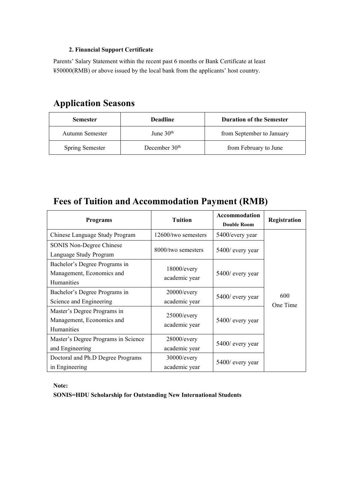#### **2. Financial Support Certificate**

Parents' Salary Statement within the recent past 6 months or Bank Certificate at least ¥50000(RMB) or above issued by the local bank from the applicants' host country.

# **Application Seasons**

| <b>Semester</b>        | <b>Deadline</b> | <b>Duration of the Semester</b> |
|------------------------|-----------------|---------------------------------|
| Autumn Semester        | June $30th$     | from September to January       |
| <b>Spring Semester</b> | December $30th$ | from February to June           |

# **Fees ofTuition and Accommodation Payment (RMB)**

| <b>Programs</b>                     | <b>Tuition</b>                  | Accommodation<br><b>Double Room</b> | Registration    |
|-------------------------------------|---------------------------------|-------------------------------------|-----------------|
| Chinese Language Study Program      | 12600/two semesters             | 5400/every year                     |                 |
| SONIS Non-Degree Chinese            | 8000/two semesters              | 5400/ every year                    | 600<br>One Time |
| Language Study Program              |                                 |                                     |                 |
| Bachelor's Degree Programs in       |                                 | $5400$ / every year                 |                 |
| Management, Economics and           | $18000$ /every<br>academic year |                                     |                 |
| Humanities                          |                                 |                                     |                 |
| Bachelor's Degree Programs in       | $20000$ /every                  | 5400/ every year                    |                 |
| Science and Engineering             | academic year                   |                                     |                 |
| Master's Degree Programs in         | $25000$ /every                  | 5400/ every year                    |                 |
| Management, Economics and           | academic year                   |                                     |                 |
| Humanities                          |                                 |                                     |                 |
| Master's Degree Programs in Science | $28000$ /every                  |                                     |                 |
| and Engineering                     | academic year                   | 5400/ every year                    |                 |
| Doctoral and Ph.D Degree Programs   | $30000$ /every                  | 5400/ every year                    |                 |
| in Engineering                      | academic year                   |                                     |                 |

**Note:**

**SONIS=HDU Scholarship for Outstanding New International Students**